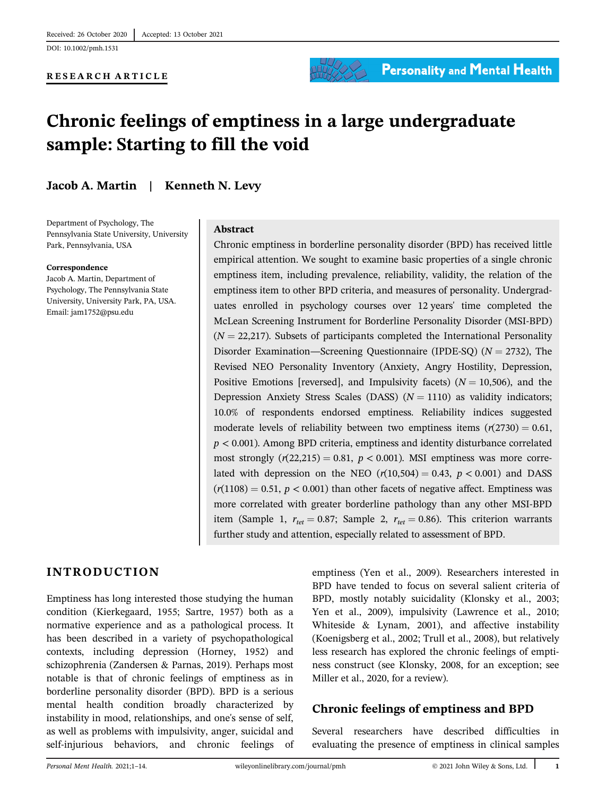DOI: 10.1002/pmh.1531

#### RESEARCH ARTICLE



**Personality and Mental Health** 

# Chronic feelings of emptiness in a large undergraduate sample: Starting to fill the void

Jacob A. Martin | Kenneth N. Levy

Department of Psychology, The Pennsylvania State University, University Park, Pennsylvania, USA

#### Correspondence

Jacob A. Martin, Department of Psychology, The Pennsylvania State University, University Park, PA, USA. Email: [jam1752@psu.edu](mailto:jam1752@psu.edu)

## Abstract

Chronic emptiness in borderline personality disorder (BPD) has received little empirical attention. We sought to examine basic properties of a single chronic emptiness item, including prevalence, reliability, validity, the relation of the emptiness item to other BPD criteria, and measures of personality. Undergraduates enrolled in psychology courses over 12 years' time completed the McLean Screening Instrument for Borderline Personality Disorder (MSI-BPD)  $(N = 22,217)$ . Subsets of participants completed the International Personality Disorder Examination—Screening Questionnaire (IPDE-SQ) ( $N = 2732$ ), The Revised NEO Personality Inventory (Anxiety, Angry Hostility, Depression, Positive Emotions [reversed], and Impulsivity facets) ( $N = 10,506$ ), and the Depression Anxiety Stress Scales (DASS)  $(N = 1110)$  as validity indicators; 10.0% of respondents endorsed emptiness. Reliability indices suggested moderate levels of reliability between two emptiness items  $(r(2730) = 0.61$ ,  $p < 0.001$ ). Among BPD criteria, emptiness and identity disturbance correlated most strongly  $(r(22,215) = 0.81, p < 0.001)$ . MSI emptiness was more correlated with depression on the NEO  $(r(10,504) = 0.43, p < 0.001)$  and DASS  $(r(1108) = 0.51, p < 0.001)$  than other facets of negative affect. Emptiness was more correlated with greater borderline pathology than any other MSI-BPD item (Sample 1,  $r_{tet} = 0.87$ ; Sample 2,  $r_{tet} = 0.86$ ). This criterion warrants further study and attention, especially related to assessment of BPD.

# INTRODUCTION

Emptiness has long interested those studying the human condition (Kierkegaard, 1955; Sartre, 1957) both as a normative experience and as a pathological process. It has been described in a variety of psychopathological contexts, including depression (Horney, 1952) and schizophrenia (Zandersen & Parnas, 2019). Perhaps most notable is that of chronic feelings of emptiness as in borderline personality disorder (BPD). BPD is a serious mental health condition broadly characterized by instability in mood, relationships, and one's sense of self, as well as problems with impulsivity, anger, suicidal and self-injurious behaviors, and chronic feelings of

emptiness (Yen et al., 2009). Researchers interested in BPD have tended to focus on several salient criteria of BPD, mostly notably suicidality (Klonsky et al., 2003; Yen et al., 2009), impulsivity (Lawrence et al., 2010; Whiteside & Lynam, 2001), and affective instability (Koenigsberg et al., 2002; Trull et al., 2008), but relatively less research has explored the chronic feelings of emptiness construct (see Klonsky, 2008, for an exception; see Miller et al., 2020, for a review).

# Chronic feelings of emptiness and BPD

Several researchers have described difficulties in evaluating the presence of emptiness in clinical samples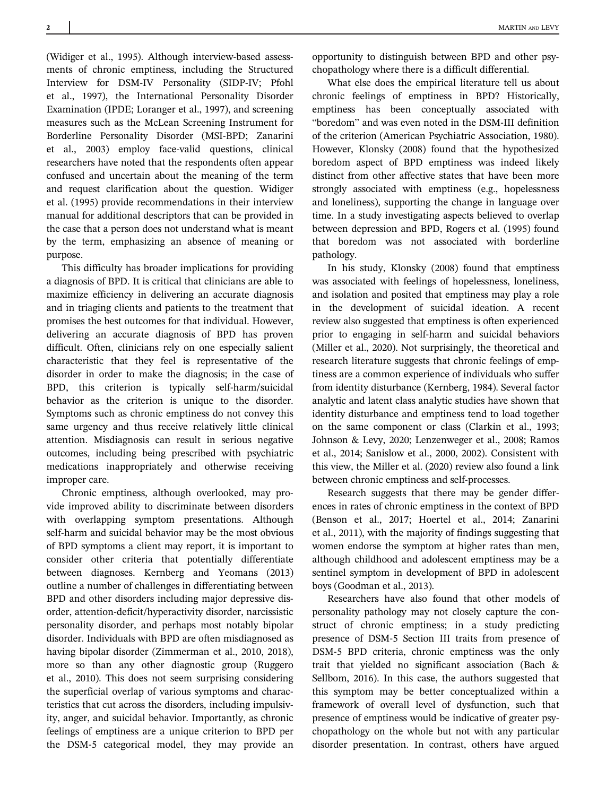(Widiger et al., 1995). Although interview-based assessments of chronic emptiness, including the Structured Interview for DSM-IV Personality (SIDP-IV; Pfohl et al., 1997), the International Personality Disorder Examination (IPDE; Loranger et al., 1997), and screening measures such as the McLean Screening Instrument for Borderline Personality Disorder (MSI-BPD; Zanarini et al., 2003) employ face-valid questions, clinical researchers have noted that the respondents often appear confused and uncertain about the meaning of the term and request clarification about the question. Widiger et al. (1995) provide recommendations in their interview manual for additional descriptors that can be provided in the case that a person does not understand what is meant by the term, emphasizing an absence of meaning or purpose.

This difficulty has broader implications for providing a diagnosis of BPD. It is critical that clinicians are able to maximize efficiency in delivering an accurate diagnosis and in triaging clients and patients to the treatment that promises the best outcomes for that individual. However, delivering an accurate diagnosis of BPD has proven difficult. Often, clinicians rely on one especially salient characteristic that they feel is representative of the disorder in order to make the diagnosis; in the case of BPD, this criterion is typically self-harm/suicidal behavior as the criterion is unique to the disorder. Symptoms such as chronic emptiness do not convey this same urgency and thus receive relatively little clinical attention. Misdiagnosis can result in serious negative outcomes, including being prescribed with psychiatric medications inappropriately and otherwise receiving improper care.

Chronic emptiness, although overlooked, may provide improved ability to discriminate between disorders with overlapping symptom presentations. Although self-harm and suicidal behavior may be the most obvious of BPD symptoms a client may report, it is important to consider other criteria that potentially differentiate between diagnoses. Kernberg and Yeomans (2013) outline a number of challenges in differentiating between BPD and other disorders including major depressive disorder, attention-deficit/hyperactivity disorder, narcissistic personality disorder, and perhaps most notably bipolar disorder. Individuals with BPD are often misdiagnosed as having bipolar disorder (Zimmerman et al., 2010, 2018), more so than any other diagnostic group (Ruggero et al., 2010). This does not seem surprising considering the superficial overlap of various symptoms and characteristics that cut across the disorders, including impulsivity, anger, and suicidal behavior. Importantly, as chronic feelings of emptiness are a unique criterion to BPD per the DSM-5 categorical model, they may provide an

opportunity to distinguish between BPD and other psychopathology where there is a difficult differential.

What else does the empirical literature tell us about chronic feelings of emptiness in BPD? Historically, emptiness has been conceptually associated with "boredom" and was even noted in the DSM-III definition of the criterion (American Psychiatric Association, 1980). However, Klonsky (2008) found that the hypothesized boredom aspect of BPD emptiness was indeed likely distinct from other affective states that have been more strongly associated with emptiness (e.g., hopelessness and loneliness), supporting the change in language over time. In a study investigating aspects believed to overlap between depression and BPD, Rogers et al. (1995) found that boredom was not associated with borderline pathology.

In his study, Klonsky (2008) found that emptiness was associated with feelings of hopelessness, loneliness, and isolation and posited that emptiness may play a role in the development of suicidal ideation. A recent review also suggested that emptiness is often experienced prior to engaging in self-harm and suicidal behaviors (Miller et al., 2020). Not surprisingly, the theoretical and research literature suggests that chronic feelings of emptiness are a common experience of individuals who suffer from identity disturbance (Kernberg, 1984). Several factor analytic and latent class analytic studies have shown that identity disturbance and emptiness tend to load together on the same component or class (Clarkin et al., 1993; Johnson & Levy, 2020; Lenzenweger et al., 2008; Ramos et al., 2014; Sanislow et al., 2000, 2002). Consistent with this view, the Miller et al. (2020) review also found a link between chronic emptiness and self-processes.

Research suggests that there may be gender differences in rates of chronic emptiness in the context of BPD (Benson et al., 2017; Hoertel et al., 2014; Zanarini et al., 2011), with the majority of findings suggesting that women endorse the symptom at higher rates than men, although childhood and adolescent emptiness may be a sentinel symptom in development of BPD in adolescent boys (Goodman et al., 2013).

Researchers have also found that other models of personality pathology may not closely capture the construct of chronic emptiness; in a study predicting presence of DSM-5 Section III traits from presence of DSM-5 BPD criteria, chronic emptiness was the only trait that yielded no significant association (Bach & Sellbom, 2016). In this case, the authors suggested that this symptom may be better conceptualized within a framework of overall level of dysfunction, such that presence of emptiness would be indicative of greater psychopathology on the whole but not with any particular disorder presentation. In contrast, others have argued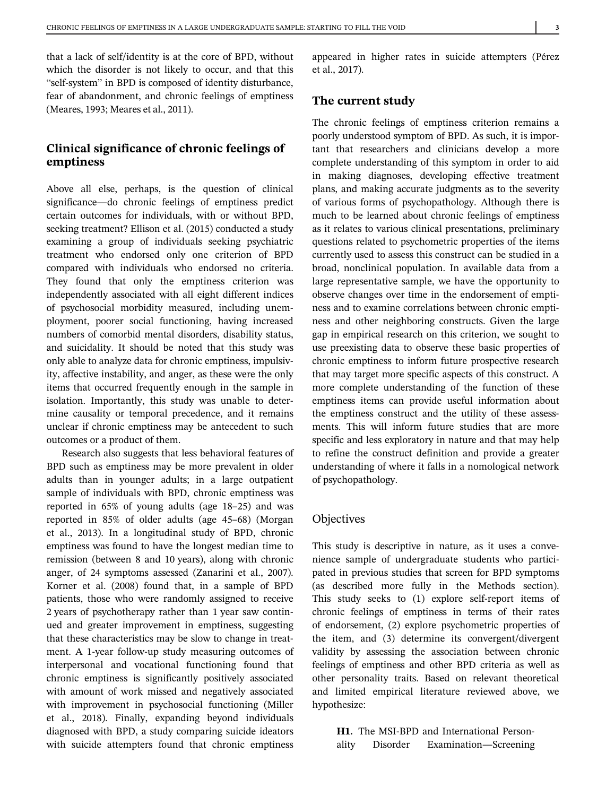that a lack of self/identity is at the core of BPD, without which the disorder is not likely to occur, and that this "self-system" in BPD is composed of identity disturbance, fear of abandonment, and chronic feelings of emptiness (Meares, 1993; Meares et al., 2011).

# Clinical significance of chronic feelings of emptiness

Above all else, perhaps, is the question of clinical significance—do chronic feelings of emptiness predict certain outcomes for individuals, with or without BPD, seeking treatment? Ellison et al. (2015) conducted a study examining a group of individuals seeking psychiatric treatment who endorsed only one criterion of BPD compared with individuals who endorsed no criteria. They found that only the emptiness criterion was independently associated with all eight different indices of psychosocial morbidity measured, including unemployment, poorer social functioning, having increased numbers of comorbid mental disorders, disability status, and suicidality. It should be noted that this study was only able to analyze data for chronic emptiness, impulsivity, affective instability, and anger, as these were the only items that occurred frequently enough in the sample in isolation. Importantly, this study was unable to determine causality or temporal precedence, and it remains unclear if chronic emptiness may be antecedent to such outcomes or a product of them.

Research also suggests that less behavioral features of BPD such as emptiness may be more prevalent in older adults than in younger adults; in a large outpatient sample of individuals with BPD, chronic emptiness was reported in 65% of young adults (age 18–25) and was reported in 85% of older adults (age 45–68) (Morgan et al., 2013). In a longitudinal study of BPD, chronic emptiness was found to have the longest median time to remission (between 8 and 10 years), along with chronic anger, of 24 symptoms assessed (Zanarini et al., 2007). Korner et al. (2008) found that, in a sample of BPD patients, those who were randomly assigned to receive 2 years of psychotherapy rather than 1 year saw continued and greater improvement in emptiness, suggesting that these characteristics may be slow to change in treatment. A 1-year follow-up study measuring outcomes of interpersonal and vocational functioning found that chronic emptiness is significantly positively associated with amount of work missed and negatively associated with improvement in psychosocial functioning (Miller et al., 2018). Finally, expanding beyond individuals diagnosed with BPD, a study comparing suicide ideators with suicide attempters found that chronic emptiness

appeared in higher rates in suicide attempters (Pérez et al., 2017).

## The current study

The chronic feelings of emptiness criterion remains a poorly understood symptom of BPD. As such, it is important that researchers and clinicians develop a more complete understanding of this symptom in order to aid in making diagnoses, developing effective treatment plans, and making accurate judgments as to the severity of various forms of psychopathology. Although there is much to be learned about chronic feelings of emptiness as it relates to various clinical presentations, preliminary questions related to psychometric properties of the items currently used to assess this construct can be studied in a broad, nonclinical population. In available data from a large representative sample, we have the opportunity to observe changes over time in the endorsement of emptiness and to examine correlations between chronic emptiness and other neighboring constructs. Given the large gap in empirical research on this criterion, we sought to use preexisting data to observe these basic properties of chronic emptiness to inform future prospective research that may target more specific aspects of this construct. A more complete understanding of the function of these emptiness items can provide useful information about the emptiness construct and the utility of these assessments. This will inform future studies that are more specific and less exploratory in nature and that may help to refine the construct definition and provide a greater understanding of where it falls in a nomological network of psychopathology.

## **Objectives**

This study is descriptive in nature, as it uses a convenience sample of undergraduate students who participated in previous studies that screen for BPD symptoms (as described more fully in the Methods section). This study seeks to (1) explore self-report items of chronic feelings of emptiness in terms of their rates of endorsement, (2) explore psychometric properties of the item, and (3) determine its convergent/divergent validity by assessing the association between chronic feelings of emptiness and other BPD criteria as well as other personality traits. Based on relevant theoretical and limited empirical literature reviewed above, we hypothesize:

H1. The MSI-BPD and International Personality Disorder Examination—Screening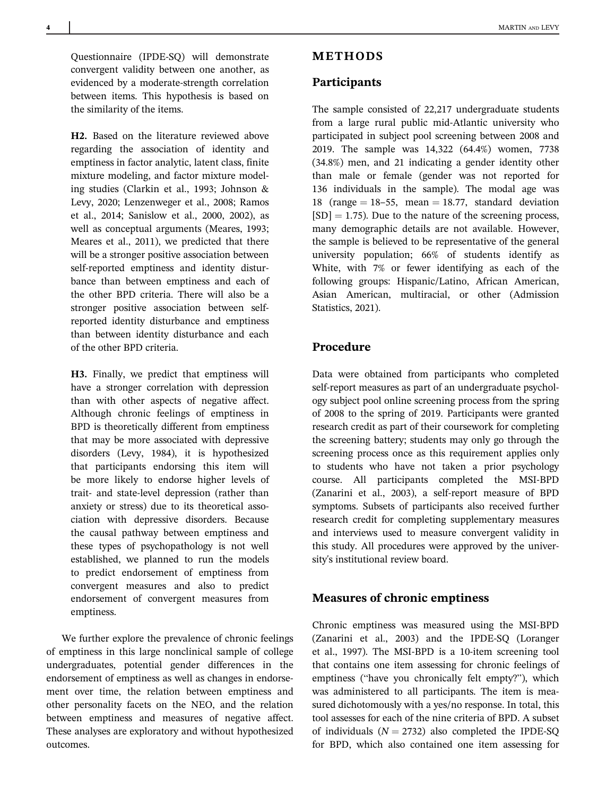Questionnaire (IPDE-SQ) will demonstrate convergent validity between one another, as evidenced by a moderate-strength correlation between items. This hypothesis is based on the similarity of the items.

H2. Based on the literature reviewed above regarding the association of identity and emptiness in factor analytic, latent class, finite mixture modeling, and factor mixture modeling studies (Clarkin et al., 1993; Johnson & Levy, 2020; Lenzenweger et al., 2008; Ramos et al., 2014; Sanislow et al., 2000, 2002), as well as conceptual arguments (Meares, 1993; Meares et al., 2011), we predicted that there will be a stronger positive association between self-reported emptiness and identity disturbance than between emptiness and each of the other BPD criteria. There will also be a stronger positive association between selfreported identity disturbance and emptiness than between identity disturbance and each of the other BPD criteria.

H3. Finally, we predict that emptiness will have a stronger correlation with depression than with other aspects of negative affect. Although chronic feelings of emptiness in BPD is theoretically different from emptiness that may be more associated with depressive disorders (Levy, 1984), it is hypothesized that participants endorsing this item will be more likely to endorse higher levels of trait- and state-level depression (rather than anxiety or stress) due to its theoretical association with depressive disorders. Because the causal pathway between emptiness and these types of psychopathology is not well established, we planned to run the models to predict endorsement of emptiness from convergent measures and also to predict endorsement of convergent measures from emptiness.

We further explore the prevalence of chronic feelings of emptiness in this large nonclinical sample of college undergraduates, potential gender differences in the endorsement of emptiness as well as changes in endorsement over time, the relation between emptiness and other personality facets on the NEO, and the relation between emptiness and measures of negative affect. These analyses are exploratory and without hypothesized outcomes.

# METHODS

## **Participants**

The sample consisted of 22,217 undergraduate students from a large rural public mid-Atlantic university who participated in subject pool screening between 2008 and 2019. The sample was 14,322 (64.4%) women, 7738 (34.8%) men, and 21 indicating a gender identity other than male or female (gender was not reported for 136 individuals in the sample). The modal age was 18 (range  $= 18-55$ , mean  $= 18.77$ , standard deviation  $[SD] = 1.75$ ). Due to the nature of the screening process, many demographic details are not available. However, the sample is believed to be representative of the general university population; 66% of students identify as White, with 7% or fewer identifying as each of the following groups: Hispanic/Latino, African American, Asian American, multiracial, or other (Admission Statistics, 2021).

## Procedure

Data were obtained from participants who completed self-report measures as part of an undergraduate psychology subject pool online screening process from the spring of 2008 to the spring of 2019. Participants were granted research credit as part of their coursework for completing the screening battery; students may only go through the screening process once as this requirement applies only to students who have not taken a prior psychology course. All participants completed the MSI-BPD (Zanarini et al., 2003), a self-report measure of BPD symptoms. Subsets of participants also received further research credit for completing supplementary measures and interviews used to measure convergent validity in this study. All procedures were approved by the university's institutional review board.

## Measures of chronic emptiness

Chronic emptiness was measured using the MSI-BPD (Zanarini et al., 2003) and the IPDE-SQ (Loranger et al., 1997). The MSI-BPD is a 10-item screening tool that contains one item assessing for chronic feelings of emptiness ("have you chronically felt empty?"), which was administered to all participants. The item is measured dichotomously with a yes/no response. In total, this tool assesses for each of the nine criteria of BPD. A subset of individuals  $(N = 2732)$  also completed the IPDE-SO for BPD, which also contained one item assessing for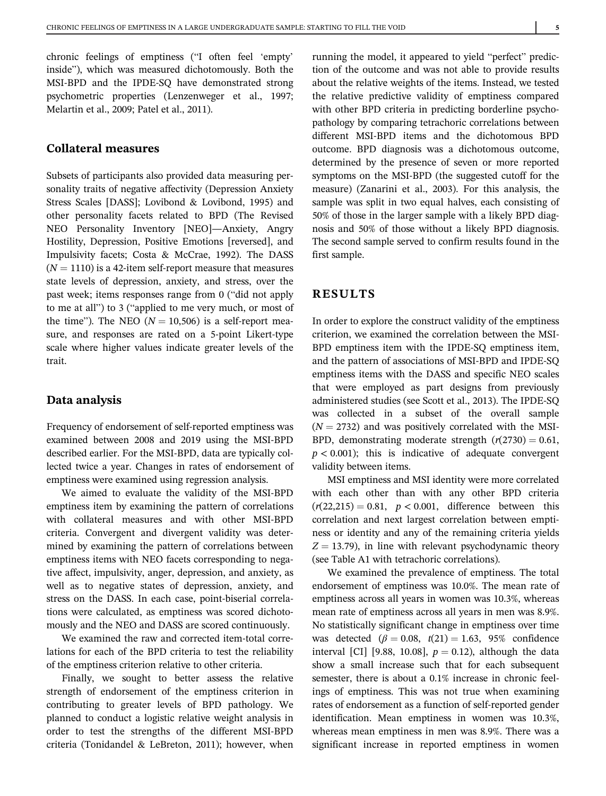chronic feelings of emptiness ("I often feel 'empty' inside"), which was measured dichotomously. Both the MSI-BPD and the IPDE-SQ have demonstrated strong psychometric properties (Lenzenweger et al., 1997; Melartin et al., 2009; Patel et al., 2011).

## Collateral measures

Subsets of participants also provided data measuring personality traits of negative affectivity (Depression Anxiety Stress Scales [DASS]; Lovibond & Lovibond, 1995) and other personality facets related to BPD (The Revised NEO Personality Inventory [NEO]—Anxiety, Angry Hostility, Depression, Positive Emotions [reversed], and Impulsivity facets; Costa & McCrae, 1992). The DASS  $(N = 1110)$  is a 42-item self-report measure that measures state levels of depression, anxiety, and stress, over the past week; items responses range from 0 ("did not apply to me at all") to 3 ("applied to me very much, or most of the time"). The NEO ( $N = 10,506$ ) is a self-report measure, and responses are rated on a 5-point Likert-type scale where higher values indicate greater levels of the trait.

#### Data analysis

Frequency of endorsement of self-reported emptiness was examined between 2008 and 2019 using the MSI-BPD described earlier. For the MSI-BPD, data are typically collected twice a year. Changes in rates of endorsement of emptiness were examined using regression analysis.

We aimed to evaluate the validity of the MSI-BPD emptiness item by examining the pattern of correlations with collateral measures and with other MSI-BPD criteria. Convergent and divergent validity was determined by examining the pattern of correlations between emptiness items with NEO facets corresponding to negative affect, impulsivity, anger, depression, and anxiety, as well as to negative states of depression, anxiety, and stress on the DASS. In each case, point-biserial correlations were calculated, as emptiness was scored dichotomously and the NEO and DASS are scored continuously.

We examined the raw and corrected item-total correlations for each of the BPD criteria to test the reliability of the emptiness criterion relative to other criteria.

Finally, we sought to better assess the relative strength of endorsement of the emptiness criterion in contributing to greater levels of BPD pathology. We planned to conduct a logistic relative weight analysis in order to test the strengths of the different MSI-BPD criteria (Tonidandel & LeBreton, 2011); however, when running the model, it appeared to yield "perfect" prediction of the outcome and was not able to provide results about the relative weights of the items. Instead, we tested the relative predictive validity of emptiness compared with other BPD criteria in predicting borderline psychopathology by comparing tetrachoric correlations between different MSI-BPD items and the dichotomous BPD outcome. BPD diagnosis was a dichotomous outcome, determined by the presence of seven or more reported symptoms on the MSI-BPD (the suggested cutoff for the measure) (Zanarini et al., 2003). For this analysis, the sample was split in two equal halves, each consisting of 50% of those in the larger sample with a likely BPD diagnosis and 50% of those without a likely BPD diagnosis. The second sample served to confirm results found in the first sample.

## RESULTS

In order to explore the construct validity of the emptiness criterion, we examined the correlation between the MSI-BPD emptiness item with the IPDE-SQ emptiness item, and the pattern of associations of MSI-BPD and IPDE-SQ emptiness items with the DASS and specific NEO scales that were employed as part designs from previously administered studies (see Scott et al., 2013). The IPDE-SQ was collected in a subset of the overall sample  $(N = 2732)$  and was positively correlated with the MSI-BPD, demonstrating moderate strength  $(r(2730) = 0.61$ ,  $p < 0.001$ ; this is indicative of adequate convergent validity between items.

MSI emptiness and MSI identity were more correlated with each other than with any other BPD criteria  $(r(22,215) = 0.81, p < 0.001,$  difference between this correlation and next largest correlation between emptiness or identity and any of the remaining criteria yields  $Z = 13.79$ ), in line with relevant psychodynamic theory (see Table A1 with tetrachoric correlations).

We examined the prevalence of emptiness. The total endorsement of emptiness was 10.0%. The mean rate of emptiness across all years in women was 10.3%, whereas mean rate of emptiness across all years in men was 8.9%. No statistically significant change in emptiness over time was detected ( $\beta = 0.08$ ,  $t(21) = 1.63$ , 95% confidence interval [CI] [9.88, 10.08],  $p = 0.12$ ), although the data show a small increase such that for each subsequent semester, there is about a 0.1% increase in chronic feelings of emptiness. This was not true when examining rates of endorsement as a function of self-reported gender identification. Mean emptiness in women was 10.3%, whereas mean emptiness in men was 8.9%. There was a significant increase in reported emptiness in women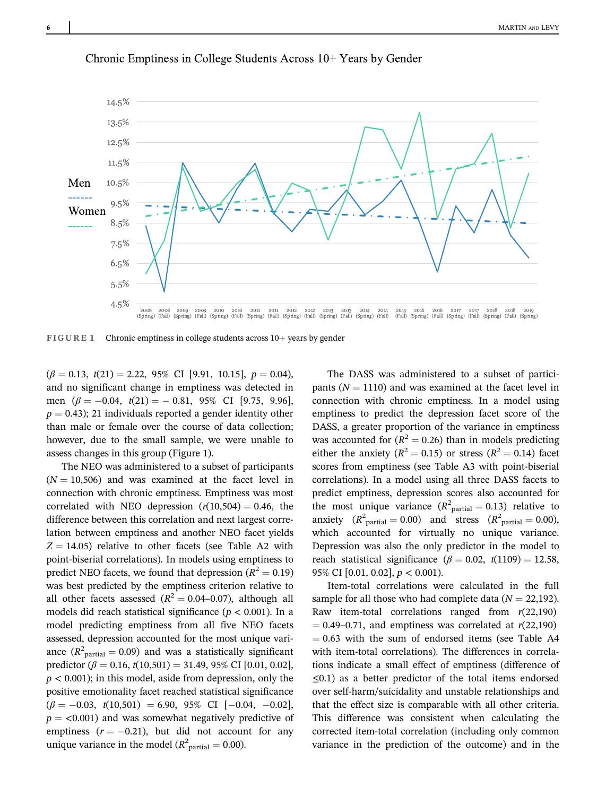

Chronic Emptiness in College Students Across 10+ Years by Gender

FIGURE 1 Chronic emptiness in college students across 10+ years by gender

 $(\beta = 0.13, t(21) = 2.22, 95\% \text{ CI} [9.91, 10.15], p = 0.04),$ and no significant change in emptiness was detected in men  $(\beta = -0.04, t(21) = -0.81, 95\% \text{ CI}$  [9.75, 9.96],  $p = 0.43$ ; 21 individuals reported a gender identity other than male or female over the course of data collection; however, due to the small sample, we were unable to assess changes in this group (Figure 1).

The NEO was administered to a subset of participants  $(N = 10,506)$  and was examined at the facet level in connection with chronic emptiness. Emptiness was most correlated with NEO depression  $(r(10,504) = 0.46$ , the difference between this correlation and next largest correlation between emptiness and another NEO facet yields  $Z = 14.05$ ) relative to other facets (see Table A2 with point-biserial correlations). In models using emptiness to predict NEO facets, we found that depression ( $R^2 = 0.19$ ) was best predicted by the emptiness criterion relative to all other facets assessed ( $R^2 = 0.04 - 0.07$ ), although all models did reach statistical significance ( $p < 0.001$ ). In a model predicting emptiness from all five NEO facets assessed, depression accounted for the most unique variance  $(R^2_{\text{partial}} = 0.09)$  and was a statistically significant predictor ( $\beta = 0.16$ ,  $t(10,501) = 31.49$ , 95% CI [0.01, 0.02],  $p < 0.001$ ); in this model, aside from depression, only the positive emotionality facet reached statistical significance  $(\beta = -0.03, t(10,501) = 6.90, 95\% \text{ CI } [-0.04, -0.02],$  $p = 0.001$ ) and was somewhat negatively predictive of emptiness  $(r = -0.21)$ , but did not account for any unique variance in the model ( $R^2$ <sub>partial</sub> = 0.00).

The DASS was administered to a subset of participants  $(N = 1110)$  and was examined at the facet level in connection with chronic emptiness. In a model using emptiness to predict the depression facet score of the DASS, a greater proportion of the variance in emptiness was accounted for  $(R^2 = 0.26)$  than in models predicting either the anxiety ( $R^2 = 0.15$ ) or stress ( $R^2 = 0.14$ ) facet scores from emptiness (see Table A3 with point-biserial correlations). In a model using all three DASS facets to predict emptiness, depression scores also accounted for the most unique variance  $(R^2_{\text{partial}} = 0.13)$  relative to anxiety  $(R^2_{\text{partial}} = 0.00)$  and stress  $(R^2_{\text{partial}} = 0.00)$ , which accounted for virtually no unique variance. Depression was also the only predictor in the model to reach statistical significance ( $\beta = 0.02$ ,  $t(1109) = 12.58$ , 95% CI  $[0.01, 0.02]$ ,  $p < 0.001$ ).

Item-total correlations were calculated in the full sample for all those who had complete data ( $N = 22,192$ ). Raw item-total correlations ranged from  $r(22,190)$  $= 0.49 - 0.71$ , and emptiness was correlated at  $r(22,190)$  $= 0.63$  with the sum of endorsed items (see Table A4 with item-total correlations). The differences in correlations indicate a small effect of emptiness (difference of ≤0.1) as a better predictor of the total items endorsed over self-harm/suicidality and unstable relationships and that the effect size is comparable with all other criteria. This difference was consistent when calculating the corrected item-total correlation (including only common variance in the prediction of the outcome) and in the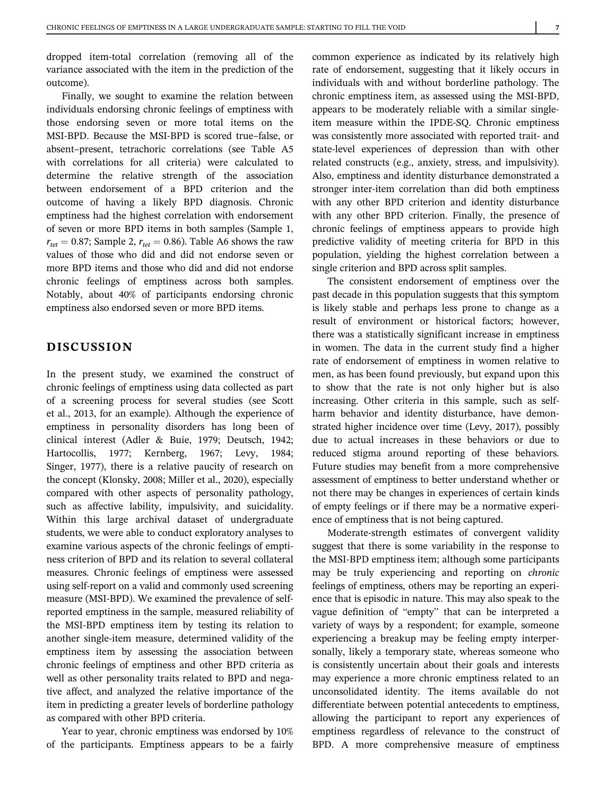dropped item-total correlation (removing all of the variance associated with the item in the prediction of the outcome).

Finally, we sought to examine the relation between individuals endorsing chronic feelings of emptiness with those endorsing seven or more total items on the MSI-BPD. Because the MSI-BPD is scored true–false, or absent–present, tetrachoric correlations (see Table A5 with correlations for all criteria) were calculated to determine the relative strength of the association between endorsement of a BPD criterion and the outcome of having a likely BPD diagnosis. Chronic emptiness had the highest correlation with endorsement of seven or more BPD items in both samples (Sample 1,  $r_{tet} = 0.87$ ; Sample 2,  $r_{tet} = 0.86$ ). Table A6 shows the raw values of those who did and did not endorse seven or more BPD items and those who did and did not endorse chronic feelings of emptiness across both samples. Notably, about 40% of participants endorsing chronic emptiness also endorsed seven or more BPD items.

# DISCUSSION

In the present study, we examined the construct of chronic feelings of emptiness using data collected as part of a screening process for several studies (see Scott et al., 2013, for an example). Although the experience of emptiness in personality disorders has long been of clinical interest (Adler & Buie, 1979; Deutsch, 1942; Hartocollis, 1977; Kernberg, 1967; Levy, 1984; Singer, 1977), there is a relative paucity of research on the concept (Klonsky, 2008; Miller et al., 2020), especially compared with other aspects of personality pathology, such as affective lability, impulsivity, and suicidality. Within this large archival dataset of undergraduate students, we were able to conduct exploratory analyses to examine various aspects of the chronic feelings of emptiness criterion of BPD and its relation to several collateral measures. Chronic feelings of emptiness were assessed using self-report on a valid and commonly used screening measure (MSI-BPD). We examined the prevalence of selfreported emptiness in the sample, measured reliability of the MSI-BPD emptiness item by testing its relation to another single-item measure, determined validity of the emptiness item by assessing the association between chronic feelings of emptiness and other BPD criteria as well as other personality traits related to BPD and negative affect, and analyzed the relative importance of the item in predicting a greater levels of borderline pathology as compared with other BPD criteria.

Year to year, chronic emptiness was endorsed by 10% of the participants. Emptiness appears to be a fairly common experience as indicated by its relatively high rate of endorsement, suggesting that it likely occurs in individuals with and without borderline pathology. The chronic emptiness item, as assessed using the MSI-BPD, appears to be moderately reliable with a similar singleitem measure within the IPDE-SQ. Chronic emptiness was consistently more associated with reported trait- and state-level experiences of depression than with other related constructs (e.g., anxiety, stress, and impulsivity). Also, emptiness and identity disturbance demonstrated a stronger inter-item correlation than did both emptiness with any other BPD criterion and identity disturbance with any other BPD criterion. Finally, the presence of chronic feelings of emptiness appears to provide high predictive validity of meeting criteria for BPD in this population, yielding the highest correlation between a single criterion and BPD across split samples.

The consistent endorsement of emptiness over the past decade in this population suggests that this symptom is likely stable and perhaps less prone to change as a result of environment or historical factors; however, there was a statistically significant increase in emptiness in women. The data in the current study find a higher rate of endorsement of emptiness in women relative to men, as has been found previously, but expand upon this to show that the rate is not only higher but is also increasing. Other criteria in this sample, such as selfharm behavior and identity disturbance, have demonstrated higher incidence over time (Levy, 2017), possibly due to actual increases in these behaviors or due to reduced stigma around reporting of these behaviors. Future studies may benefit from a more comprehensive assessment of emptiness to better understand whether or not there may be changes in experiences of certain kinds of empty feelings or if there may be a normative experience of emptiness that is not being captured.

Moderate-strength estimates of convergent validity suggest that there is some variability in the response to the MSI-BPD emptiness item; although some participants may be truly experiencing and reporting on chronic feelings of emptiness, others may be reporting an experience that is episodic in nature. This may also speak to the vague definition of "empty" that can be interpreted a variety of ways by a respondent; for example, someone experiencing a breakup may be feeling empty interpersonally, likely a temporary state, whereas someone who is consistently uncertain about their goals and interests may experience a more chronic emptiness related to an unconsolidated identity. The items available do not differentiate between potential antecedents to emptiness, allowing the participant to report any experiences of emptiness regardless of relevance to the construct of BPD. A more comprehensive measure of emptiness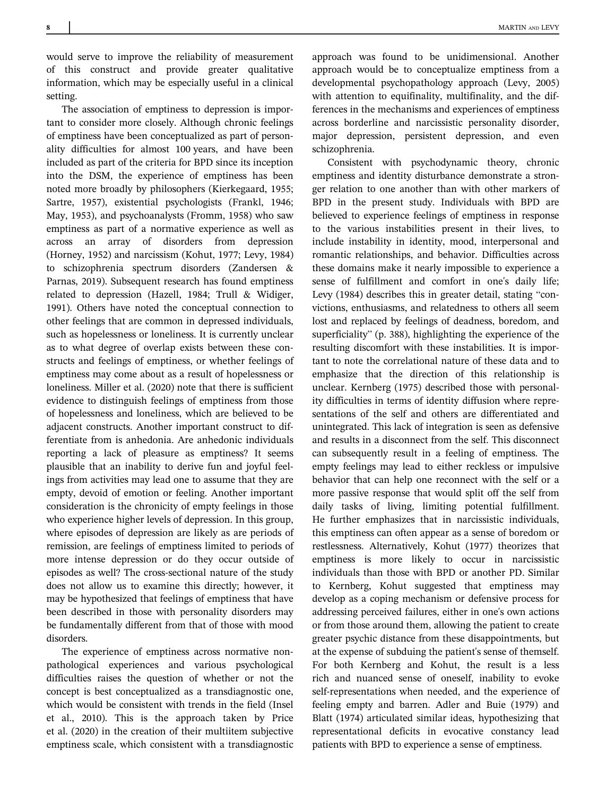8 MARTIN AND LEVY

would serve to improve the reliability of measurement of this construct and provide greater qualitative information, which may be especially useful in a clinical setting.

The association of emptiness to depression is important to consider more closely. Although chronic feelings of emptiness have been conceptualized as part of personality difficulties for almost 100 years, and have been included as part of the criteria for BPD since its inception into the DSM, the experience of emptiness has been noted more broadly by philosophers (Kierkegaard, 1955; Sartre, 1957), existential psychologists (Frankl, 1946; May, 1953), and psychoanalysts (Fromm, 1958) who saw emptiness as part of a normative experience as well as across an array of disorders from depression (Horney, 1952) and narcissism (Kohut, 1977; Levy, 1984) to schizophrenia spectrum disorders (Zandersen & Parnas, 2019). Subsequent research has found emptiness related to depression (Hazell, 1984; Trull & Widiger, 1991). Others have noted the conceptual connection to other feelings that are common in depressed individuals, such as hopelessness or loneliness. It is currently unclear as to what degree of overlap exists between these constructs and feelings of emptiness, or whether feelings of emptiness may come about as a result of hopelessness or loneliness. Miller et al. (2020) note that there is sufficient evidence to distinguish feelings of emptiness from those of hopelessness and loneliness, which are believed to be adjacent constructs. Another important construct to differentiate from is anhedonia. Are anhedonic individuals reporting a lack of pleasure as emptiness? It seems plausible that an inability to derive fun and joyful feelings from activities may lead one to assume that they are empty, devoid of emotion or feeling. Another important consideration is the chronicity of empty feelings in those who experience higher levels of depression. In this group, where episodes of depression are likely as are periods of remission, are feelings of emptiness limited to periods of more intense depression or do they occur outside of episodes as well? The cross-sectional nature of the study does not allow us to examine this directly; however, it may be hypothesized that feelings of emptiness that have been described in those with personality disorders may be fundamentally different from that of those with mood disorders.

The experience of emptiness across normative nonpathological experiences and various psychological difficulties raises the question of whether or not the concept is best conceptualized as a transdiagnostic one, which would be consistent with trends in the field (Insel et al., 2010). This is the approach taken by Price et al. (2020) in the creation of their multiitem subjective emptiness scale, which consistent with a transdiagnostic

approach was found to be unidimensional. Another approach would be to conceptualize emptiness from a developmental psychopathology approach (Levy, 2005) with attention to equifinality, multifinality, and the differences in the mechanisms and experiences of emptiness across borderline and narcissistic personality disorder, major depression, persistent depression, and even schizophrenia.

Consistent with psychodynamic theory, chronic emptiness and identity disturbance demonstrate a stronger relation to one another than with other markers of BPD in the present study. Individuals with BPD are believed to experience feelings of emptiness in response to the various instabilities present in their lives, to include instability in identity, mood, interpersonal and romantic relationships, and behavior. Difficulties across these domains make it nearly impossible to experience a sense of fulfillment and comfort in one's daily life; Levy (1984) describes this in greater detail, stating "convictions, enthusiasms, and relatedness to others all seem lost and replaced by feelings of deadness, boredom, and superficiality" (p. 388), highlighting the experience of the resulting discomfort with these instabilities. It is important to note the correlational nature of these data and to emphasize that the direction of this relationship is unclear. Kernberg (1975) described those with personality difficulties in terms of identity diffusion where representations of the self and others are differentiated and unintegrated. This lack of integration is seen as defensive and results in a disconnect from the self. This disconnect can subsequently result in a feeling of emptiness. The empty feelings may lead to either reckless or impulsive behavior that can help one reconnect with the self or a more passive response that would split off the self from daily tasks of living, limiting potential fulfillment. He further emphasizes that in narcissistic individuals, this emptiness can often appear as a sense of boredom or restlessness. Alternatively, Kohut (1977) theorizes that emptiness is more likely to occur in narcissistic individuals than those with BPD or another PD. Similar to Kernberg, Kohut suggested that emptiness may develop as a coping mechanism or defensive process for addressing perceived failures, either in one's own actions or from those around them, allowing the patient to create greater psychic distance from these disappointments, but at the expense of subduing the patient's sense of themself. For both Kernberg and Kohut, the result is a less rich and nuanced sense of oneself, inability to evoke self-representations when needed, and the experience of feeling empty and barren. Adler and Buie (1979) and Blatt (1974) articulated similar ideas, hypothesizing that representational deficits in evocative constancy lead patients with BPD to experience a sense of emptiness.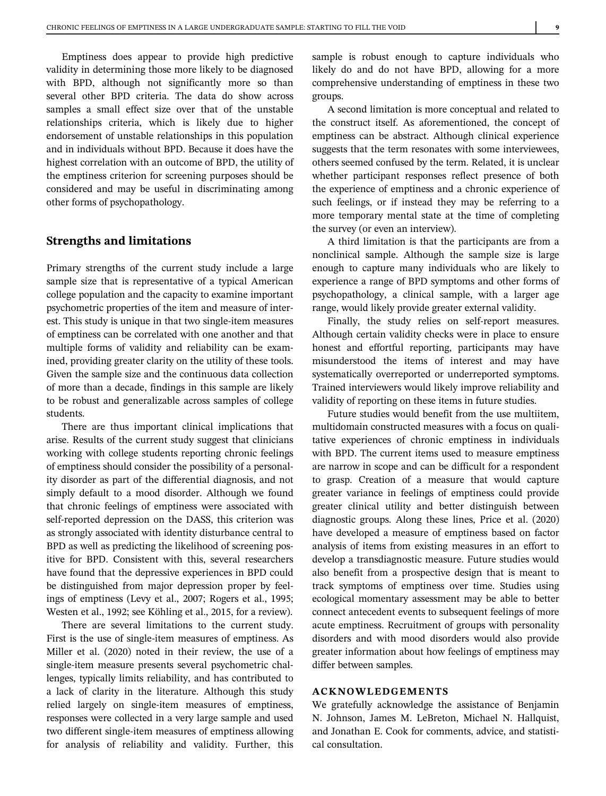Emptiness does appear to provide high predictive validity in determining those more likely to be diagnosed with BPD, although not significantly more so than several other BPD criteria. The data do show across samples a small effect size over that of the unstable relationships criteria, which is likely due to higher endorsement of unstable relationships in this population and in individuals without BPD. Because it does have the highest correlation with an outcome of BPD, the utility of the emptiness criterion for screening purposes should be considered and may be useful in discriminating among other forms of psychopathology.

## Strengths and limitations

Primary strengths of the current study include a large sample size that is representative of a typical American college population and the capacity to examine important psychometric properties of the item and measure of interest. This study is unique in that two single-item measures of emptiness can be correlated with one another and that multiple forms of validity and reliability can be examined, providing greater clarity on the utility of these tools. Given the sample size and the continuous data collection of more than a decade, findings in this sample are likely to be robust and generalizable across samples of college students.

There are thus important clinical implications that arise. Results of the current study suggest that clinicians working with college students reporting chronic feelings of emptiness should consider the possibility of a personality disorder as part of the differential diagnosis, and not simply default to a mood disorder. Although we found that chronic feelings of emptiness were associated with self-reported depression on the DASS, this criterion was as strongly associated with identity disturbance central to BPD as well as predicting the likelihood of screening positive for BPD. Consistent with this, several researchers have found that the depressive experiences in BPD could be distinguished from major depression proper by feelings of emptiness (Levy et al., 2007; Rogers et al., 1995; Westen et al., 1992; see Köhling et al., 2015, for a review).

There are several limitations to the current study. First is the use of single-item measures of emptiness. As Miller et al. (2020) noted in their review, the use of a single-item measure presents several psychometric challenges, typically limits reliability, and has contributed to a lack of clarity in the literature. Although this study relied largely on single-item measures of emptiness, responses were collected in a very large sample and used two different single-item measures of emptiness allowing for analysis of reliability and validity. Further, this sample is robust enough to capture individuals who likely do and do not have BPD, allowing for a more comprehensive understanding of emptiness in these two groups.

A second limitation is more conceptual and related to the construct itself. As aforementioned, the concept of emptiness can be abstract. Although clinical experience suggests that the term resonates with some interviewees, others seemed confused by the term. Related, it is unclear whether participant responses reflect presence of both the experience of emptiness and a chronic experience of such feelings, or if instead they may be referring to a more temporary mental state at the time of completing the survey (or even an interview).

A third limitation is that the participants are from a nonclinical sample. Although the sample size is large enough to capture many individuals who are likely to experience a range of BPD symptoms and other forms of psychopathology, a clinical sample, with a larger age range, would likely provide greater external validity.

Finally, the study relies on self-report measures. Although certain validity checks were in place to ensure honest and effortful reporting, participants may have misunderstood the items of interest and may have systematically overreported or underreported symptoms. Trained interviewers would likely improve reliability and validity of reporting on these items in future studies.

Future studies would benefit from the use multiitem, multidomain constructed measures with a focus on qualitative experiences of chronic emptiness in individuals with BPD. The current items used to measure emptiness are narrow in scope and can be difficult for a respondent to grasp. Creation of a measure that would capture greater variance in feelings of emptiness could provide greater clinical utility and better distinguish between diagnostic groups. Along these lines, Price et al. (2020) have developed a measure of emptiness based on factor analysis of items from existing measures in an effort to develop a transdiagnostic measure. Future studies would also benefit from a prospective design that is meant to track symptoms of emptiness over time. Studies using ecological momentary assessment may be able to better connect antecedent events to subsequent feelings of more acute emptiness. Recruitment of groups with personality disorders and with mood disorders would also provide greater information about how feelings of emptiness may differ between samples.

#### ACKNOWLEDGEMENTS

We gratefully acknowledge the assistance of Benjamin N. Johnson, James M. LeBreton, Michael N. Hallquist, and Jonathan E. Cook for comments, advice, and statistical consultation.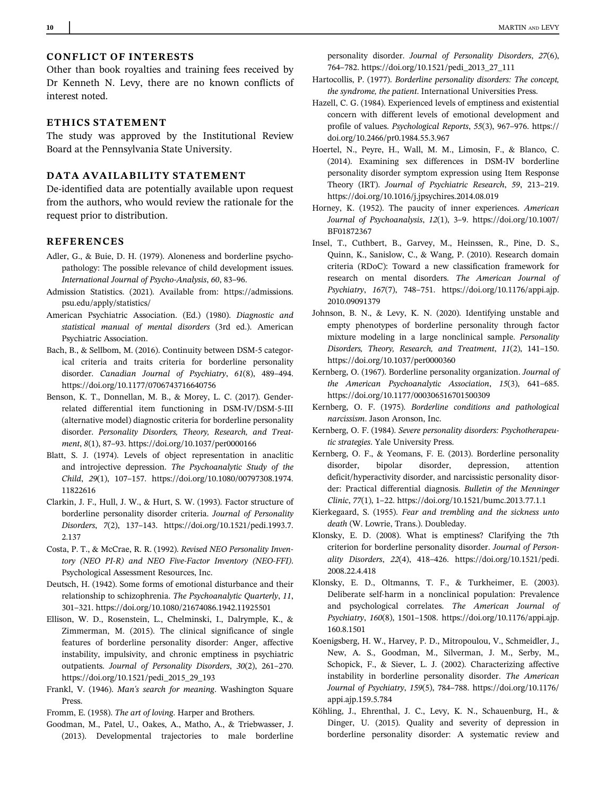## CONFLICT OF INTERESTS

Other than book royalties and training fees received by Dr Kenneth N. Levy, there are no known conflicts of interest noted.

## ETHICS STATEMENT

The study was approved by the Institutional Review Board at the Pennsylvania State University.

## DATA AVAILABILITY STATEMENT

De-identified data are potentially available upon request from the authors, who would review the rationale for the request prior to distribution.

#### **REFERENCES**

- Adler, G., & Buie, D. H. (1979). Aloneness and borderline psychopathology: The possible relevance of child development issues. International Journal of Psycho-Analysis, 60, 83–96.
- Admission Statistics. (2021). Available from: [https://admissions.](https://admissions.psu.edu/apply/statistics/) [psu.edu/apply/statistics/](https://admissions.psu.edu/apply/statistics/)
- American Psychiatric Association. (Ed.) (1980). Diagnostic and statistical manual of mental disorders (3rd ed.). American Psychiatric Association.
- Bach, B., & Sellbom, M. (2016). Continuity between DSM-5 categorical criteria and traits criteria for borderline personality disorder. Canadian Journal of Psychiatry, 61(8), 489–494. <https://doi.org/10.1177/0706743716640756>
- Benson, K. T., Donnellan, M. B., & Morey, L. C. (2017). Genderrelated differential item functioning in DSM-IV/DSM-5-III (alternative model) diagnostic criteria for borderline personality disorder. Personality Disorders, Theory, Research, and Treatment, 8(1), 87–93.<https://doi.org/10.1037/per0000166>
- Blatt, S. J. (1974). Levels of object representation in anaclitic and introjective depression. The Psychoanalytic Study of the Child, 29(1), 107–157. [https://doi.org/10.1080/00797308.1974.](https://doi.org/10.1080/00797308.1974.11822616) [11822616](https://doi.org/10.1080/00797308.1974.11822616)
- Clarkin, J. F., Hull, J. W., & Hurt, S. W. (1993). Factor structure of borderline personality disorder criteria. Journal of Personality Disorders, 7(2), 137–143. [https://doi.org/10.1521/pedi.1993.7.](https://doi.org/10.1521/pedi.1993.7.2.137) [2.137](https://doi.org/10.1521/pedi.1993.7.2.137)
- Costa, P. T., & McCrae, R. R. (1992). Revised NEO Personality Inventory (NEO PI-R) and NEO Five-Factor Inventory (NEO-FFI). Psychological Assessment Resources, Inc.
- Deutsch, H. (1942). Some forms of emotional disturbance and their relationship to schizophrenia. The Psychoanalytic Quarterly, 11, 301–321.<https://doi.org/10.1080/21674086.1942.11925501>
- Ellison, W. D., Rosenstein, L., Chelminski, I., Dalrymple, K., & Zimmerman, M. (2015). The clinical significance of single features of borderline personality disorder: Anger, affective instability, impulsivity, and chronic emptiness in psychiatric outpatients. Journal of Personality Disorders, 30(2), 261–270. [https://doi.org/10.1521/pedi\\_2015\\_29\\_193](https://doi.org/10.1521/pedi_2015_29_193)
- Frankl, V. (1946). Man's search for meaning. Washington Square Press.

Fromm, E. (1958). The art of loving. Harper and Brothers.

Goodman, M., Patel, U., Oakes, A., Matho, A., & Triebwasser, J. (2013). Developmental trajectories to male borderline personality disorder. Journal of Personality Disorders, 27(6), 764–782. [https://doi.org/10.1521/pedi\\_2013\\_27\\_111](https://doi.org/10.1521/pedi_2013_27_111)

- Hartocollis, P. (1977). Borderline personality disorders: The concept, the syndrome, the patient. International Universities Press.
- Hazell, C. G. (1984). Experienced levels of emptiness and existential concern with different levels of emotional development and profile of values. Psychological Reports, 55(3), 967–976. [https://](https://doi.org/10.2466/pr0.1984.55.3.967) [doi.org/10.2466/pr0.1984.55.3.967](https://doi.org/10.2466/pr0.1984.55.3.967)
- Hoertel, N., Peyre, H., Wall, M. M., Limosin, F., & Blanco, C. (2014). Examining sex differences in DSM-IV borderline personality disorder symptom expression using Item Response Theory (IRT). Journal of Psychiatric Research, 59, 213–219. <https://doi.org/10.1016/j.jpsychires.2014.08.019>
- Horney, K. (1952). The paucity of inner experiences. American Journal of Psychoanalysis, 12(1), 3–9. [https://doi.org/10.1007/](https://doi.org/10.1007/BF01872367) [BF01872367](https://doi.org/10.1007/BF01872367)
- Insel, T., Cuthbert, B., Garvey, M., Heinssen, R., Pine, D. S., Quinn, K., Sanislow, C., & Wang, P. (2010). Research domain criteria (RDoC): Toward a new classification framework for research on mental disorders. The American Journal of Psychiatry, 167(7), 748–751. [https://doi.org/10.1176/appi.ajp.](https://doi.org/10.1176/appi.ajp.2010.09091379) [2010.09091379](https://doi.org/10.1176/appi.ajp.2010.09091379)
- Johnson, B. N., & Levy, K. N. (2020). Identifying unstable and empty phenotypes of borderline personality through factor mixture modeling in a large nonclinical sample. Personality Disorders, Theory, Research, and Treatment, 11(2), 141–150. <https://doi.org/10.1037/per0000360>
- Kernberg, O. (1967). Borderline personality organization. Journal of the American Psychoanalytic Association, 15(3), 641–685. <https://doi.org/10.1177/000306516701500309>
- Kernberg, O. F. (1975). Borderline conditions and pathological narcissism. Jason Aronson, Inc.
- Kernberg, O. F. (1984). Severe personality disorders: Psychotherapeutic strategies. Yale University Press.
- Kernberg, O. F., & Yeomans, F. E. (2013). Borderline personality disorder, bipolar disorder, depression, attention deficit/hyperactivity disorder, and narcissistic personality disorder: Practical differential diagnosis. Bulletin of the Menninger Clinic, 77(1), 1–22.<https://doi.org/10.1521/bumc.2013.77.1.1>
- Kierkegaard, S. (1955). Fear and trembling and the sickness unto death (W. Lowrie, Trans.). Doubleday.
- Klonsky, E. D. (2008). What is emptiness? Clarifying the 7th criterion for borderline personality disorder. Journal of Personality Disorders, 22(4), 418–426. [https://doi.org/10.1521/pedi.](https://doi.org/10.1521/pedi.2008.22.4.418) [2008.22.4.418](https://doi.org/10.1521/pedi.2008.22.4.418)
- Klonsky, E. D., Oltmanns, T. F., & Turkheimer, E. (2003). Deliberate self-harm in a nonclinical population: Prevalence and psychological correlates. The American Journal of Psychiatry, 160(8), 1501–1508. [https://doi.org/10.1176/appi.ajp.](https://doi.org/10.1176/appi.ajp.160.8.1501) [160.8.1501](https://doi.org/10.1176/appi.ajp.160.8.1501)
- Koenigsberg, H. W., Harvey, P. D., Mitropoulou, V., Schmeidler, J., New, A. S., Goodman, M., Silverman, J. M., Serby, M., Schopick, F., & Siever, L. J. (2002). Characterizing affective instability in borderline personality disorder. The American Journal of Psychiatry, 159(5), 784–788. [https://doi.org/10.1176/](https://doi.org/10.1176/appi.ajp.159.5.784) [appi.ajp.159.5.784](https://doi.org/10.1176/appi.ajp.159.5.784)
- Köhling, J., Ehrenthal, J. C., Levy, K. N., Schauenburg, H., & Dinger, U. (2015). Quality and severity of depression in borderline personality disorder: A systematic review and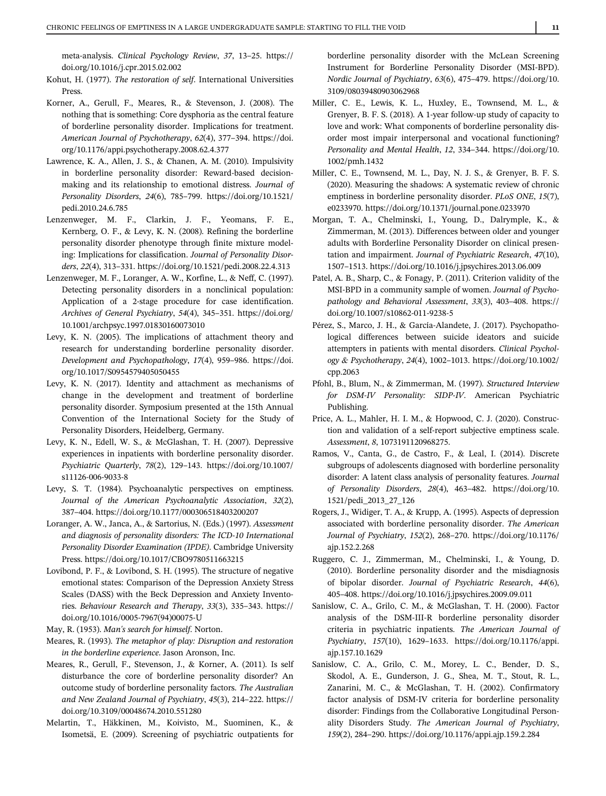meta-analysis. Clinical Psychology Review, 37, 13–25. [https://](https://doi.org/10.1016/j.cpr.2015.02.002) [doi.org/10.1016/j.cpr.2015.02.002](https://doi.org/10.1016/j.cpr.2015.02.002)

- Kohut, H. (1977). The restoration of self. International Universities Press.
- Korner, A., Gerull, F., Meares, R., & Stevenson, J. (2008). The nothing that is something: Core dysphoria as the central feature of borderline personality disorder. Implications for treatment. American Journal of Psychotherapy, 62(4), 377–394. [https://doi.](https://doi.org/10.1176/appi.psychotherapy.2008.62.4.377) [org/10.1176/appi.psychotherapy.2008.62.4.377](https://doi.org/10.1176/appi.psychotherapy.2008.62.4.377)
- Lawrence, K. A., Allen, J. S., & Chanen, A. M. (2010). Impulsivity in borderline personality disorder: Reward-based decisionmaking and its relationship to emotional distress. Journal of Personality Disorders, 24(6), 785–799. [https://doi.org/10.1521/](https://doi.org/10.1521/pedi.2010.24.6.785) [pedi.2010.24.6.785](https://doi.org/10.1521/pedi.2010.24.6.785)
- Lenzenweger, M. F., Clarkin, J. F., Yeomans, F. E., Kernberg, O. F., & Levy, K. N. (2008). Refining the borderline personality disorder phenotype through finite mixture modeling: Implications for classification. Journal of Personality Disorders, 22(4), 313–331.<https://doi.org/10.1521/pedi.2008.22.4.313>
- Lenzenweger, M. F., Loranger, A. W., Korfine, L., & Neff, C. (1997). Detecting personality disorders in a nonclinical population: Application of a 2-stage procedure for case identification. Archives of General Psychiatry, 54(4), 345–351. [https://doi.org/](https://doi.org/10.1001/archpsyc.1997.01830160073010) [10.1001/archpsyc.1997.01830160073010](https://doi.org/10.1001/archpsyc.1997.01830160073010)
- Levy, K. N. (2005). The implications of attachment theory and research for understanding borderline personality disorder. Development and Psychopathology, 17(4), 959–986. [https://doi.](https://doi.org/10.1017/S0954579405050455) [org/10.1017/S0954579405050455](https://doi.org/10.1017/S0954579405050455)
- Levy, K. N. (2017). Identity and attachment as mechanisms of change in the development and treatment of borderline personality disorder. Symposium presented at the 15th Annual Convention of the International Society for the Study of Personality Disorders, Heidelberg, Germany.
- Levy, K. N., Edell, W. S., & McGlashan, T. H. (2007). Depressive experiences in inpatients with borderline personality disorder. Psychiatric Quarterly, 78(2), 129–143. [https://doi.org/10.1007/](https://doi.org/10.1007/s11126-006-9033-8) [s11126-006-9033-8](https://doi.org/10.1007/s11126-006-9033-8)
- Levy, S. T. (1984). Psychoanalytic perspectives on emptiness. Journal of the American Psychoanalytic Association, 32(2), 387–404.<https://doi.org/10.1177/000306518403200207>
- Loranger, A. W., Janca, A., & Sartorius, N. (Eds.) (1997). Assessment and diagnosis of personality disorders: The ICD-10 International Personality Disorder Examination (IPDE). Cambridge University Press.<https://doi.org/10.1017/CBO9780511663215>
- Lovibond, P. F., & Lovibond, S. H. (1995). The structure of negative emotional states: Comparison of the Depression Anxiety Stress Scales (DASS) with the Beck Depression and Anxiety Inventories. Behaviour Research and Therapy, 33(3), 335–343. [https://](https://doi.org/10.1016/0005-7967(94)00075-U) [doi.org/10.1016/0005-7967\(94\)00075-U](https://doi.org/10.1016/0005-7967(94)00075-U)
- May, R. (1953). Man's search for himself. Norton.
- Meares, R. (1993). The metaphor of play: Disruption and restoration in the borderline experience. Jason Aronson, Inc.
- Meares, R., Gerull, F., Stevenson, J., & Korner, A. (2011). Is self disturbance the core of borderline personality disorder? An outcome study of borderline personality factors. The Australian and New Zealand Journal of Psychiatry, 45(3), 214–222. [https://](https://doi.org/10.3109/00048674.2010.551280) [doi.org/10.3109/00048674.2010.551280](https://doi.org/10.3109/00048674.2010.551280)
- Melartin, T., Häkkinen, M., Koivisto, M., Suominen, K., & Isometsä, E. (2009). Screening of psychiatric outpatients for

borderline personality disorder with the McLean Screening Instrument for Borderline Personality Disorder (MSI-BPD). Nordic Journal of Psychiatry, 63(6), 475–479. [https://doi.org/10.](https://doi.org/10.3109/08039480903062968) [3109/08039480903062968](https://doi.org/10.3109/08039480903062968)

- Miller, C. E., Lewis, K. L., Huxley, E., Townsend, M. L., & Grenyer, B. F. S. (2018). A 1-year follow-up study of capacity to love and work: What components of borderline personality disorder most impair interpersonal and vocational functioning? Personality and Mental Health, 12, 334–344. [https://doi.org/10.](https://doi.org/10.1002/pmh.1432) [1002/pmh.1432](https://doi.org/10.1002/pmh.1432)
- Miller, C. E., Townsend, M. L., Day, N. J. S., & Grenyer, B. F. S. (2020). Measuring the shadows: A systematic review of chronic emptiness in borderline personality disorder. PLoS ONE, 15(7), e0233970.<https://doi.org/10.1371/journal.pone.0233970>
- Morgan, T. A., Chelminski, I., Young, D., Dalrymple, K., & Zimmerman, M. (2013). Differences between older and younger adults with Borderline Personality Disorder on clinical presentation and impairment. Journal of Psychiatric Research, 47(10), 1507–1513.<https://doi.org/10.1016/j.jpsychires.2013.06.009>
- Patel, A. B., Sharp, C., & Fonagy, P. (2011). Criterion validity of the MSI-BPD in a community sample of women. Journal of Psychopathology and Behavioral Assessment, 33(3), 403–408. [https://](https://doi.org/10.1007/s10862-011-9238-5) [doi.org/10.1007/s10862-011-9238-5](https://doi.org/10.1007/s10862-011-9238-5)
- Pérez, S., Marco, J. H., & García-Alandete, J. (2017). Psychopathological differences between suicide ideators and suicide attempters in patients with mental disorders. Clinical Psychology & Psychotherapy, 24(4), 1002–1013. [https://doi.org/10.1002/](https://doi.org/10.1002/cpp.2063) [cpp.2063](https://doi.org/10.1002/cpp.2063)
- Pfohl, B., Blum, N., & Zimmerman, M. (1997). Structured Interview for DSM-IV Personality: SIDP-IV. American Psychiatric Publishing.
- Price, A. L., Mahler, H. I. M., & Hopwood, C. J. (2020). Construction and validation of a self-report subjective emptiness scale. Assessment, 8, 1073191120968275.
- Ramos, V., Canta, G., de Castro, F., & Leal, I. (2014). Discrete subgroups of adolescents diagnosed with borderline personality disorder: A latent class analysis of personality features. Journal of Personality Disorders, 28(4), 463–482. [https://doi.org/10.](https://doi.org/10.1521/pedi_2013_27_126) [1521/pedi\\_2013\\_27\\_126](https://doi.org/10.1521/pedi_2013_27_126)
- Rogers, J., Widiger, T. A., & Krupp, A. (1995). Aspects of depression associated with borderline personality disorder. The American Journal of Psychiatry, 152(2), 268–270. [https://doi.org/10.1176/](https://doi.org/10.1176/ajp.152.2.268) [ajp.152.2.268](https://doi.org/10.1176/ajp.152.2.268)
- Ruggero, C. J., Zimmerman, M., Chelminski, I., & Young, D. (2010). Borderline personality disorder and the misdiagnosis of bipolar disorder. Journal of Psychiatric Research, 44(6), 405–408.<https://doi.org/10.1016/j.jpsychires.2009.09.011>
- Sanislow, C. A., Grilo, C. M., & McGlashan, T. H. (2000). Factor analysis of the DSM-III-R borderline personality disorder criteria in psychiatric inpatients. The American Journal of Psychiatry, 157(10), 1629–1633. [https://doi.org/10.1176/appi.](https://doi.org/10.1176/appi.ajp.157.10.1629) [ajp.157.10.1629](https://doi.org/10.1176/appi.ajp.157.10.1629)
- Sanislow, C. A., Grilo, C. M., Morey, L. C., Bender, D. S., Skodol, A. E., Gunderson, J. G., Shea, M. T., Stout, R. L., Zanarini, M. C., & McGlashan, T. H. (2002). Confirmatory factor analysis of DSM-IV criteria for borderline personality disorder: Findings from the Collaborative Longitudinal Personality Disorders Study. The American Journal of Psychiatry, 159(2), 284–290.<https://doi.org/10.1176/appi.ajp.159.2.284>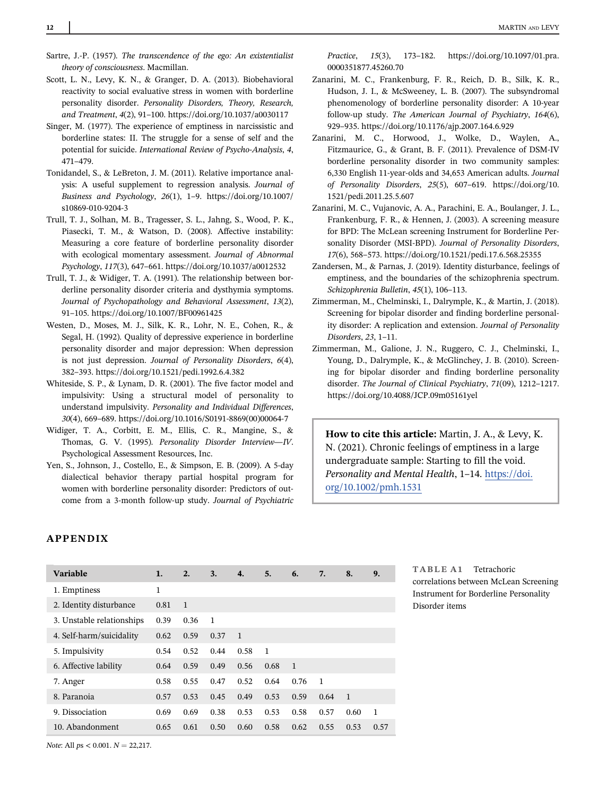- Sartre, J.-P. (1957). The transcendence of the ego: An existentialist theory of consciousness. Macmillan.
- Scott, L. N., Levy, K. N., & Granger, D. A. (2013). Biobehavioral reactivity to social evaluative stress in women with borderline personality disorder. Personality Disorders, Theory, Research, and Treatment, 4(2), 91–100.<https://doi.org/10.1037/a0030117>
- Singer, M. (1977). The experience of emptiness in narcissistic and borderline states: II. The struggle for a sense of self and the potential for suicide. International Review of Psycho-Analysis, 4, 471–479.
- Tonidandel, S., & LeBreton, J. M. (2011). Relative importance analysis: A useful supplement to regression analysis. Journal of Business and Psychology, 26(1), 1–9. [https://doi.org/10.1007/](https://doi.org/10.1007/s10869-010-9204-3) [s10869-010-9204-3](https://doi.org/10.1007/s10869-010-9204-3)
- Trull, T. J., Solhan, M. B., Tragesser, S. L., Jahng, S., Wood, P. K., Piasecki, T. M., & Watson, D. (2008). Affective instability: Measuring a core feature of borderline personality disorder with ecological momentary assessment. Journal of Abnormal Psychology, 117(3), 647–661.<https://doi.org/10.1037/a0012532>
- Trull, T. J., & Widiger, T. A. (1991). The relationship between borderline personality disorder criteria and dysthymia symptoms. Journal of Psychopathology and Behavioral Assessment, 13(2), 91–105.<https://doi.org/10.1007/BF00961425>
- Westen, D., Moses, M. J., Silk, K. R., Lohr, N. E., Cohen, R., & Segal, H. (1992). Quality of depressive experience in borderline personality disorder and major depression: When depression is not just depression. Journal of Personality Disorders, 6(4), 382–393.<https://doi.org/10.1521/pedi.1992.6.4.382>
- Whiteside, S. P., & Lynam, D. R. (2001). The five factor model and impulsivity: Using a structural model of personality to understand impulsivity. Personality and Individual Differences, 30(4), 669–689. [https://doi.org/10.1016/S0191-8869\(00\)00064-7](https://doi.org/10.1016/S0191-8869(00)00064-7)
- Widiger, T. A., Corbitt, E. M., Ellis, C. R., Mangine, S., & Thomas, G. V. (1995). Personality Disorder Interview—IV. Psychological Assessment Resources, Inc.
- Yen, S., Johnson, J., Costello, E., & Simpson, E. B. (2009). A 5-day dialectical behavior therapy partial hospital program for women with borderline personality disorder: Predictors of outcome from a 3-month follow-up study. Journal of Psychiatric

Practice, 15(3), 173–182. [https://doi.org/10.1097/01.pra.](https://doi.org/10.1097/01.pra.0000351877.45260.70) [0000351877.45260.70](https://doi.org/10.1097/01.pra.0000351877.45260.70)

- Zanarini, M. C., Frankenburg, F. R., Reich, D. B., Silk, K. R., Hudson, J. I., & McSweeney, L. B. (2007). The subsyndromal phenomenology of borderline personality disorder: A 10-year follow-up study. The American Journal of Psychiatry, 164(6), 929–935.<https://doi.org/10.1176/ajp.2007.164.6.929>
- Zanarini, M. C., Horwood, J., Wolke, D., Waylen, A., Fitzmaurice, G., & Grant, B. F. (2011). Prevalence of DSM-IV borderline personality disorder in two community samples: 6,330 English 11-year-olds and 34,653 American adults. Journal of Personality Disorders, 25(5), 607–619. [https://doi.org/10.](https://doi.org/10.1521/pedi.2011.25.5.607) [1521/pedi.2011.25.5.607](https://doi.org/10.1521/pedi.2011.25.5.607)
- Zanarini, M. C., Vujanovic, A. A., Parachini, E. A., Boulanger, J. L., Frankenburg, F. R., & Hennen, J. (2003). A screening measure for BPD: The McLean screening Instrument for Borderline Personality Disorder (MSI-BPD). Journal of Personality Disorders, 17(6), 568–573.<https://doi.org/10.1521/pedi.17.6.568.25355>
- Zandersen, M., & Parnas, J. (2019). Identity disturbance, feelings of emptiness, and the boundaries of the schizophrenia spectrum. Schizophrenia Bulletin, 45(1), 106–113.
- Zimmerman, M., Chelminski, I., Dalrymple, K., & Martin, J. (2018). Screening for bipolar disorder and finding borderline personality disorder: A replication and extension. Journal of Personality Disorders, 23, 1–11.
- Zimmerman, M., Galione, J. N., Ruggero, C. J., Chelminski, I., Young, D., Dalrymple, K., & McGlinchey, J. B. (2010). Screening for bipolar disorder and finding borderline personality disorder. The Journal of Clinical Psychiatry, 71(09), 1212–1217. <https://doi.org/10.4088/JCP.09m05161yel>

How to cite this article: Martin, J. A., & Levy, K. N. (2021). Chronic feelings of emptiness in a large undergraduate sample: Starting to fill the void. Personality and Mental Health, 1–14. [https://doi.](https://doi.org/10.1002/pmh.1531) [org/10.1002/pmh.1531](https://doi.org/10.1002/pmh.1531)

#### APPENDIX

| <b>Variable</b>           | 1.   | 2.             | 3.   | $\mathbf{4}$   | 5.             | 6.             | 7.           | 8.           | 9.   |
|---------------------------|------|----------------|------|----------------|----------------|----------------|--------------|--------------|------|
| 1. Emptiness              | 1    |                |      |                |                |                |              |              |      |
| 2. Identity disturbance   | 0.81 | $\overline{1}$ |      |                |                |                |              |              |      |
| 3. Unstable relationships | 0.39 | 0.36           | 1    |                |                |                |              |              |      |
| 4. Self-harm/suicidality  | 0.62 | 0.59           | 0.37 | $\overline{1}$ |                |                |              |              |      |
| 5. Impulsivity            | 0.54 | 0.52           | 0.44 | 0.58           | $\overline{1}$ |                |              |              |      |
| 6. Affective lability     | 0.64 | 0.59           | 0.49 | 0.56           | 0.68           | $\overline{1}$ |              |              |      |
| 7. Anger                  | 0.58 | 0.55           | 0.47 | 0.52           | 0.64           | 0.76           | $\mathbf{1}$ |              |      |
| 8. Paranoia               | 0.57 | 0.53           | 0.45 | 0.49           | 0.53           | 0.59           | 0.64         | $\mathbf{1}$ |      |
| 9. Dissociation           | 0.69 | 0.69           | 0.38 | 0.53           | 0.53           | 0.58           | 0.57         | 0.60         | 1    |
| 10. Abandonment           | 0.65 | 0.61           | 0.50 | 0.60           | 0.58           | 0.62           | 0.55         | 0.53         | 0.57 |

TABLE A1 Tetrachoric correlations between McLean Screening Instrument for Borderline Personality Disorder items

Note: All  $ps < 0.001$ .  $N = 22,217$ .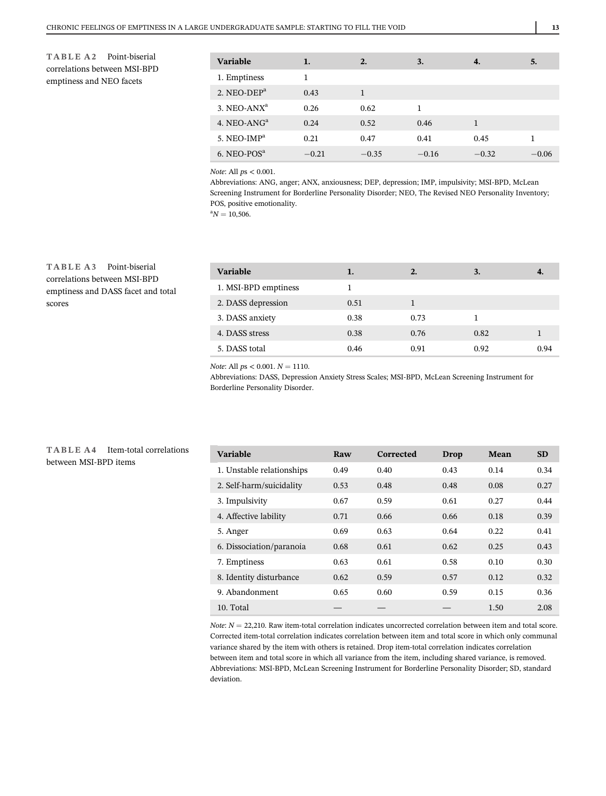TABLE A2 Point-biserial correlations between MSI-BPD emptiness and NEO facets

| <b>Variable</b>  | 1.      | $\overline{2}$ . | 3.      | 4.      | 5.      |
|------------------|---------|------------------|---------|---------|---------|
| 1. Emptiness     | 1       |                  |         |         |         |
| 2. NEO-DE $P^a$  | 0.43    | 1                |         |         |         |
| 3. NEO-AN $X^a$  | 0.26    | 0.62             | 1       |         |         |
| 4. NEO-AN $Ga$   | 0.24    | 0.52             | 0.46    | 1       |         |
| 5. NEO-IM $P^a$  | 0.21    | 0.47             | 0.41    | 0.45    | 1       |
| $6.$ NEO-POS $a$ | $-0.21$ | $-0.35$          | $-0.16$ | $-0.32$ | $-0.06$ |

Note: All ps < 0.001.

Abbreviations: ANG, anger; ANX, anxiousness; DEP, depression; IMP, impulsivity; MSI-BPD, McLean Screening Instrument for Borderline Personality Disorder; NEO, The Revised NEO Personality Inventory; POS, positive emotionality.

 ${}^{a}N = 10,506.$ 

TABLE A3 Point-biserial correlations between MSI-BPD emptiness and DASS facet and total scores

| 1.   | 2.   | 3.   |      |
|------|------|------|------|
|      |      |      |      |
| 0.51 |      |      |      |
| 0.38 | 0.73 |      |      |
| 0.38 | 0.76 | 0.82 |      |
| 0.46 | 0.91 | 0.92 | 0.94 |
|      |      |      |      |

Note: All  $ps < 0.001$ .  $N = 1110$ .

Abbreviations: DASS, Depression Anxiety Stress Scales; MSI-BPD, McLean Screening Instrument for Borderline Personality Disorder.

| TABLE A4 Item-total correlations |  |  |
|----------------------------------|--|--|
| between MSI-BPD items            |  |  |

| Variable                  | Raw  | Corrected | Drop | Mean | <b>SD</b> |
|---------------------------|------|-----------|------|------|-----------|
| 1. Unstable relationships | 0.49 | 0.40      | 0.43 | 0.14 | 0.34      |
| 2. Self-harm/suicidality  | 0.53 | 0.48      | 0.48 | 0.08 | 0.27      |
| 3. Impulsivity            | 0.67 | 0.59      | 0.61 | 0.27 | 0.44      |
| 4. Affective lability     | 0.71 | 0.66      | 0.66 | 0.18 | 0.39      |
| 5. Anger                  | 0.69 | 0.63      | 0.64 | 0.22 | 0.41      |
| 6. Dissociation/paranoia  | 0.68 | 0.61      | 0.62 | 0.25 | 0.43      |
| 7. Emptiness              | 0.63 | 0.61      | 0.58 | 0.10 | 0.30      |
| 8. Identity disturbance   | 0.62 | 0.59      | 0.57 | 0.12 | 0.32      |
| 9. Abandonment            | 0.65 | 0.60      | 0.59 | 0.15 | 0.36      |
| 10. Total                 |      |           |      | 1.50 | 2.08      |
|                           |      |           |      |      |           |

Note:  $N = 22,210$ . Raw item-total correlation indicates uncorrected correlation between item and total score. Corrected item-total correlation indicates correlation between item and total score in which only communal variance shared by the item with others is retained. Drop item-total correlation indicates correlation between item and total score in which all variance from the item, including shared variance, is removed. Abbreviations: MSI-BPD, McLean Screening Instrument for Borderline Personality Disorder; SD, standard deviation.